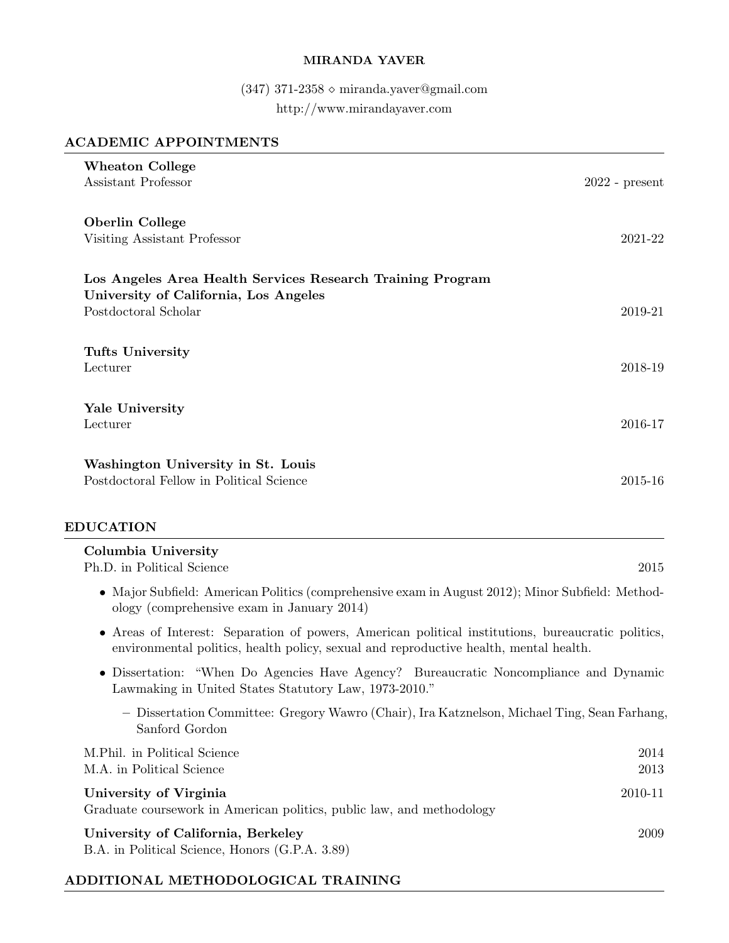### MIRANDA YAVER

# (347) 371-2358 $\diamond$ miranda.yaver@gmail.com http://www.mirandayaver.com

### ACADEMIC APPOINTMENTS

| <b>Wheaton College</b>                                                                                                                                                                      |                  |
|---------------------------------------------------------------------------------------------------------------------------------------------------------------------------------------------|------------------|
| Assistant Professor                                                                                                                                                                         | $2022$ - present |
| <b>Oberlin College</b><br>Visiting Assistant Professor                                                                                                                                      | 2021-22          |
| Los Angeles Area Health Services Research Training Program<br>University of California, Los Angeles<br>Postdoctoral Scholar                                                                 | 2019-21          |
| <b>Tufts University</b><br>Lecturer                                                                                                                                                         | 2018-19          |
| Yale University<br>Lecturer                                                                                                                                                                 | 2016-17          |
| Washington University in St. Louis<br>Postdoctoral Fellow in Political Science                                                                                                              | 2015-16          |
| <b>EDUCATION</b>                                                                                                                                                                            |                  |
| Columbia University<br>Ph.D. in Political Science                                                                                                                                           | 2015             |
| • Major Subfield: American Politics (comprehensive exam in August 2012); Minor Subfield: Method-<br>ology (comprehensive exam in January 2014)                                              |                  |
| • Areas of Interest: Separation of powers, American political institutions, bureaucratic politics,<br>environmental politics, health policy, sexual and reproductive health, mental health. |                  |
| • Dissertation: "When Do Agencies Have Agency? Bureaucratic Noncompliance and Dynamic<br>Lawmaking in United States Statutory Law, 1973-2010."                                              |                  |
| - Dissertation Committee: Gregory Wawro (Chair), Ira Katznelson, Michael Ting, Sean Farhang,<br>Sanford Gordon                                                                              |                  |
| M.Phil. in Political Science<br>M.A. in Political Science                                                                                                                                   | 2014<br>2013     |
| University of Virginia<br>Graduate coursework in American politics, public law, and methodology                                                                                             | 2010-11          |
| University of California, Berkeley<br>B.A. in Political Science, Honors (G.P.A. 3.89)                                                                                                       | 2009             |

# ADDITIONAL METHODOLOGICAL TRAINING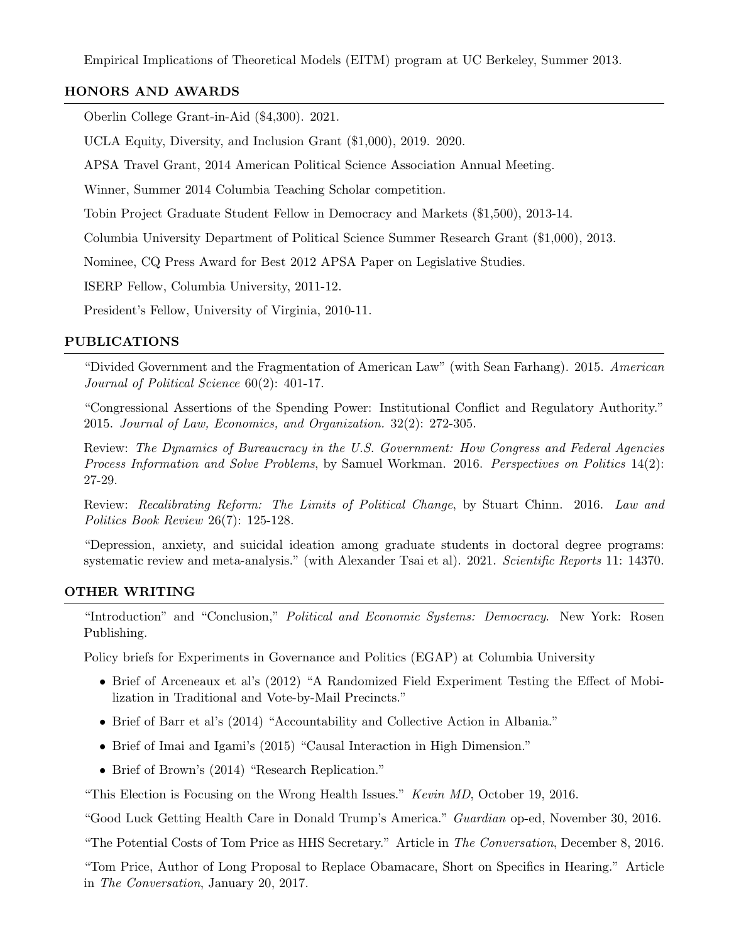Empirical Implications of Theoretical Models (EITM) program at UC Berkeley, Summer 2013.

### HONORS AND AWARDS

Oberlin College Grant-in-Aid (\$4,300). 2021.

UCLA Equity, Diversity, and Inclusion Grant (\$1,000), 2019. 2020.

APSA Travel Grant, 2014 American Political Science Association Annual Meeting.

Winner, Summer 2014 Columbia Teaching Scholar competition.

Tobin Project Graduate Student Fellow in Democracy and Markets (\$1,500), 2013-14.

Columbia University Department of Political Science Summer Research Grant (\$1,000), 2013.

Nominee, CQ Press Award for Best 2012 APSA Paper on Legislative Studies.

ISERP Fellow, Columbia University, 2011-12.

President's Fellow, University of Virginia, 2010-11.

#### PUBLICATIONS

"Divided Government and the Fragmentation of American Law" (with Sean Farhang). 2015. American Journal of Political Science 60(2): 401-17.

"Congressional Assertions of the Spending Power: Institutional Conflict and Regulatory Authority." 2015. Journal of Law, Economics, and Organization. 32(2): 272-305.

Review: The Dynamics of Bureaucracy in the U.S. Government: How Congress and Federal Agencies Process Information and Solve Problems, by Samuel Workman. 2016. Perspectives on Politics 14(2): 27-29.

Review: Recalibrating Reform: The Limits of Political Change, by Stuart Chinn. 2016. Law and Politics Book Review 26(7): 125-128.

"Depression, anxiety, and suicidal ideation among graduate students in doctoral degree programs: systematic review and meta-analysis." (with Alexander Tsai et al). 2021. Scientific Reports 11: 14370.

#### OTHER WRITING

"Introduction" and "Conclusion," Political and Economic Systems: Democracy. New York: Rosen Publishing.

Policy briefs for Experiments in Governance and Politics (EGAP) at Columbia University

- Brief of Arceneaux et al's (2012) "A Randomized Field Experiment Testing the Effect of Mobilization in Traditional and Vote-by-Mail Precincts."
- Brief of Barr et al's (2014) "Accountability and Collective Action in Albania."
- Brief of Imai and Igami's (2015) "Causal Interaction in High Dimension."
- Brief of Brown's (2014) "Research Replication."

"This Election is Focusing on the Wrong Health Issues." Kevin MD, October 19, 2016.

"Good Luck Getting Health Care in Donald Trump's America." Guardian op-ed, November 30, 2016.

"The Potential Costs of Tom Price as HHS Secretary." Article in The Conversation, December 8, 2016.

"Tom Price, Author of Long Proposal to Replace Obamacare, Short on Specifics in Hearing." Article in The Conversation, January 20, 2017.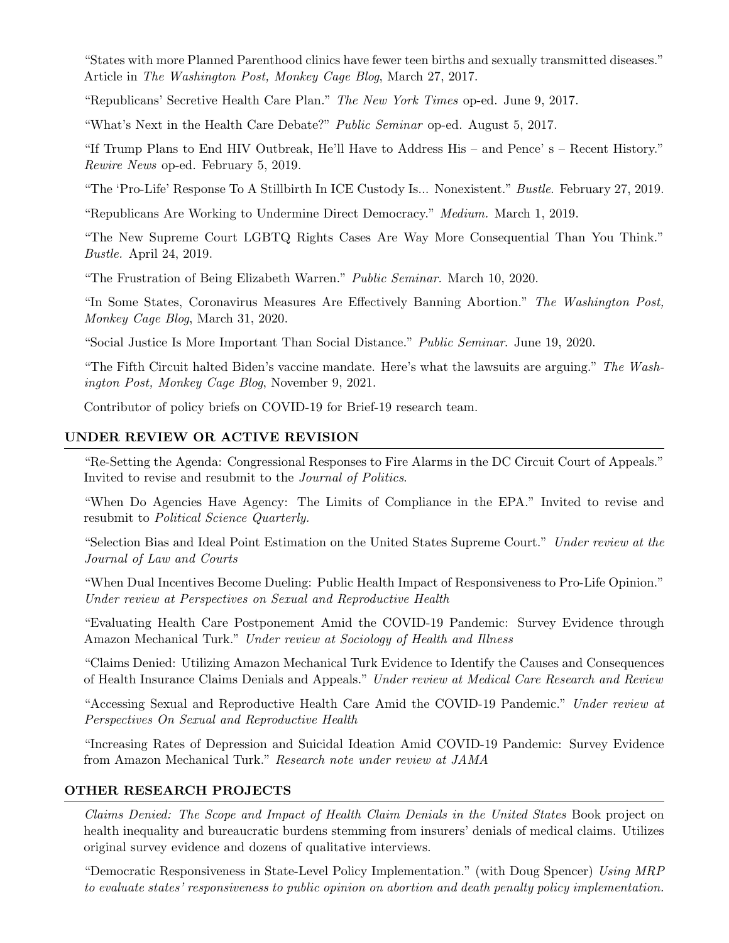"States with more Planned Parenthood clinics have fewer teen births and sexually transmitted diseases." Article in The Washington Post, Monkey Cage Blog, March 27, 2017.

"Republicans' Secretive Health Care Plan." The New York Times op-ed. June 9, 2017.

"What's Next in the Health Care Debate?" Public Seminar op-ed. August 5, 2017.

"If Trump Plans to End HIV Outbreak, He'll Have to Address His – and Pence' s – Recent History." Rewire News op-ed. February 5, 2019.

"The 'Pro-Life' Response To A Stillbirth In ICE Custody Is... Nonexistent." Bustle. February 27, 2019.

"Republicans Are Working to Undermine Direct Democracy." Medium. March 1, 2019.

"The New Supreme Court LGBTQ Rights Cases Are Way More Consequential Than You Think." Bustle. April 24, 2019.

"The Frustration of Being Elizabeth Warren." Public Seminar. March 10, 2020.

"In Some States, Coronavirus Measures Are Effectively Banning Abortion." The Washington Post, Monkey Cage Blog, March 31, 2020.

"Social Justice Is More Important Than Social Distance." Public Seminar. June 19, 2020.

"The Fifth Circuit halted Biden's vaccine mandate. Here's what the lawsuits are arguing." The Washington Post, Monkey Cage Blog, November 9, 2021.

Contributor of policy briefs on COVID-19 for Brief-19 research team.

### UNDER REVIEW OR ACTIVE REVISION

"Re-Setting the Agenda: Congressional Responses to Fire Alarms in the DC Circuit Court of Appeals." Invited to revise and resubmit to the Journal of Politics.

"When Do Agencies Have Agency: The Limits of Compliance in the EPA." Invited to revise and resubmit to Political Science Quarterly.

"Selection Bias and Ideal Point Estimation on the United States Supreme Court." Under review at the Journal of Law and Courts

"When Dual Incentives Become Dueling: Public Health Impact of Responsiveness to Pro-Life Opinion." Under review at Perspectives on Sexual and Reproductive Health

"Evaluating Health Care Postponement Amid the COVID-19 Pandemic: Survey Evidence through Amazon Mechanical Turk." Under review at Sociology of Health and Illness

"Claims Denied: Utilizing Amazon Mechanical Turk Evidence to Identify the Causes and Consequences of Health Insurance Claims Denials and Appeals." Under review at Medical Care Research and Review

"Accessing Sexual and Reproductive Health Care Amid the COVID-19 Pandemic." Under review at Perspectives On Sexual and Reproductive Health

"Increasing Rates of Depression and Suicidal Ideation Amid COVID-19 Pandemic: Survey Evidence from Amazon Mechanical Turk." Research note under review at JAMA

#### OTHER RESEARCH PROJECTS

Claims Denied: The Scope and Impact of Health Claim Denials in the United States Book project on health inequality and bureaucratic burdens stemming from insurers' denials of medical claims. Utilizes original survey evidence and dozens of qualitative interviews.

"Democratic Responsiveness in State-Level Policy Implementation." (with Doug Spencer) Using MRP to evaluate states' responsiveness to public opinion on abortion and death penalty policy implementation.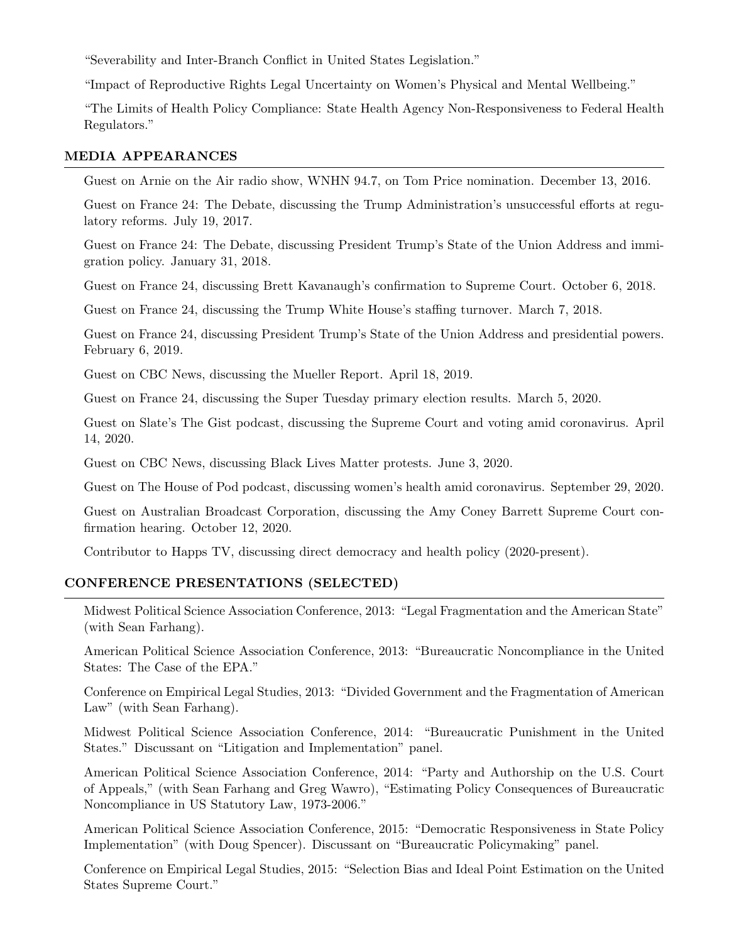"Severability and Inter-Branch Conflict in United States Legislation."

"Impact of Reproductive Rights Legal Uncertainty on Women's Physical and Mental Wellbeing."

"The Limits of Health Policy Compliance: State Health Agency Non-Responsiveness to Federal Health Regulators."

### MEDIA APPEARANCES

Guest on Arnie on the Air radio show, WNHN 94.7, on Tom Price nomination. December 13, 2016.

Guest on France 24: The Debate, discussing the Trump Administration's unsuccessful efforts at regulatory reforms. July 19, 2017.

Guest on France 24: The Debate, discussing President Trump's State of the Union Address and immigration policy. January 31, 2018.

Guest on France 24, discussing Brett Kavanaugh's confirmation to Supreme Court. October 6, 2018.

Guest on France 24, discussing the Trump White House's staffing turnover. March 7, 2018.

Guest on France 24, discussing President Trump's State of the Union Address and presidential powers. February 6, 2019.

Guest on CBC News, discussing the Mueller Report. April 18, 2019.

Guest on France 24, discussing the Super Tuesday primary election results. March 5, 2020.

Guest on Slate's The Gist podcast, discussing the Supreme Court and voting amid coronavirus. April 14, 2020.

Guest on CBC News, discussing Black Lives Matter protests. June 3, 2020.

Guest on The House of Pod podcast, discussing women's health amid coronavirus. September 29, 2020.

Guest on Australian Broadcast Corporation, discussing the Amy Coney Barrett Supreme Court confirmation hearing. October 12, 2020.

Contributor to Happs TV, discussing direct democracy and health policy (2020-present).

#### CONFERENCE PRESENTATIONS (SELECTED)

Midwest Political Science Association Conference, 2013: "Legal Fragmentation and the American State" (with Sean Farhang).

American Political Science Association Conference, 2013: "Bureaucratic Noncompliance in the United States: The Case of the EPA."

Conference on Empirical Legal Studies, 2013: "Divided Government and the Fragmentation of American Law" (with Sean Farhang).

Midwest Political Science Association Conference, 2014: "Bureaucratic Punishment in the United States." Discussant on "Litigation and Implementation" panel.

American Political Science Association Conference, 2014: "Party and Authorship on the U.S. Court of Appeals," (with Sean Farhang and Greg Wawro), "Estimating Policy Consequences of Bureaucratic Noncompliance in US Statutory Law, 1973-2006."

American Political Science Association Conference, 2015: "Democratic Responsiveness in State Policy Implementation" (with Doug Spencer). Discussant on "Bureaucratic Policymaking" panel.

Conference on Empirical Legal Studies, 2015: "Selection Bias and Ideal Point Estimation on the United States Supreme Court."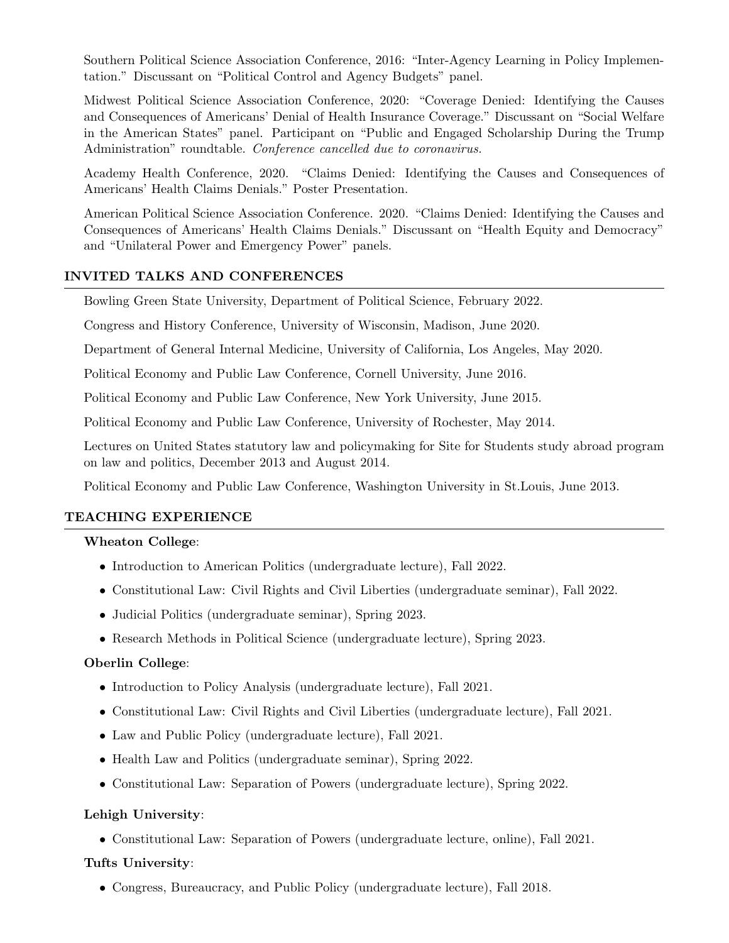Southern Political Science Association Conference, 2016: "Inter-Agency Learning in Policy Implementation." Discussant on "Political Control and Agency Budgets" panel.

Midwest Political Science Association Conference, 2020: "Coverage Denied: Identifying the Causes and Consequences of Americans' Denial of Health Insurance Coverage." Discussant on "Social Welfare in the American States" panel. Participant on "Public and Engaged Scholarship During the Trump Administration" roundtable. Conference cancelled due to coronavirus.

Academy Health Conference, 2020. "Claims Denied: Identifying the Causes and Consequences of Americans' Health Claims Denials." Poster Presentation.

American Political Science Association Conference. 2020. "Claims Denied: Identifying the Causes and Consequences of Americans' Health Claims Denials." Discussant on "Health Equity and Democracy" and "Unilateral Power and Emergency Power" panels.

### INVITED TALKS AND CONFERENCES

Bowling Green State University, Department of Political Science, February 2022.

Congress and History Conference, University of Wisconsin, Madison, June 2020.

Department of General Internal Medicine, University of California, Los Angeles, May 2020.

Political Economy and Public Law Conference, Cornell University, June 2016.

Political Economy and Public Law Conference, New York University, June 2015.

Political Economy and Public Law Conference, University of Rochester, May 2014.

Lectures on United States statutory law and policymaking for Site for Students study abroad program on law and politics, December 2013 and August 2014.

Political Economy and Public Law Conference, Washington University in St.Louis, June 2013.

#### TEACHING EXPERIENCE

#### Wheaton College:

- Introduction to American Politics (undergraduate lecture), Fall 2022.
- Constitutional Law: Civil Rights and Civil Liberties (undergraduate seminar), Fall 2022.
- Judicial Politics (undergraduate seminar), Spring 2023.
- Research Methods in Political Science (undergraduate lecture), Spring 2023.

#### Oberlin College:

- Introduction to Policy Analysis (undergraduate lecture), Fall 2021.
- Constitutional Law: Civil Rights and Civil Liberties (undergraduate lecture), Fall 2021.
- Law and Public Policy (undergraduate lecture), Fall 2021.
- Health Law and Politics (undergraduate seminar), Spring 2022.
- Constitutional Law: Separation of Powers (undergraduate lecture), Spring 2022.

#### Lehigh University:

• Constitutional Law: Separation of Powers (undergraduate lecture, online), Fall 2021.

#### Tufts University:

• Congress, Bureaucracy, and Public Policy (undergraduate lecture), Fall 2018.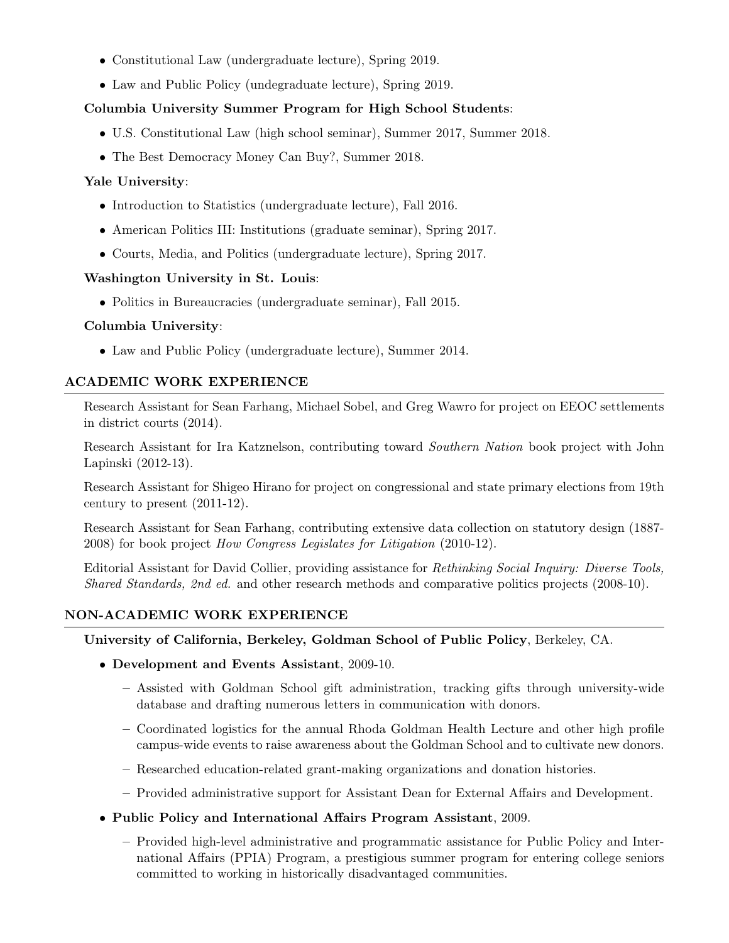- Constitutional Law (undergraduate lecture), Spring 2019.
- Law and Public Policy (undegraduate lecture), Spring 2019.

### Columbia University Summer Program for High School Students:

- U.S. Constitutional Law (high school seminar), Summer 2017, Summer 2018.
- The Best Democracy Money Can Buy?, Summer 2018.

### Yale University:

- Introduction to Statistics (undergraduate lecture), Fall 2016.
- American Politics III: Institutions (graduate seminar), Spring 2017.
- Courts, Media, and Politics (undergraduate lecture), Spring 2017.

### Washington University in St. Louis:

• Politics in Bureaucracies (undergraduate seminar), Fall 2015.

### Columbia University:

• Law and Public Policy (undergraduate lecture), Summer 2014.

# ACADEMIC WORK EXPERIENCE

Research Assistant for Sean Farhang, Michael Sobel, and Greg Wawro for project on EEOC settlements in district courts (2014).

Research Assistant for Ira Katznelson, contributing toward Southern Nation book project with John Lapinski (2012-13).

Research Assistant for Shigeo Hirano for project on congressional and state primary elections from 19th century to present (2011-12).

Research Assistant for Sean Farhang, contributing extensive data collection on statutory design (1887- 2008) for book project How Congress Legislates for Litigation (2010-12).

Editorial Assistant for David Collier, providing assistance for Rethinking Social Inquiry: Diverse Tools, Shared Standards, 2nd ed. and other research methods and comparative politics projects (2008-10).

# NON-ACADEMIC WORK EXPERIENCE

University of California, Berkeley, Goldman School of Public Policy, Berkeley, CA.

- Development and Events Assistant, 2009-10.
	- Assisted with Goldman School gift administration, tracking gifts through university-wide database and drafting numerous letters in communication with donors.
	- Coordinated logistics for the annual Rhoda Goldman Health Lecture and other high profile campus-wide events to raise awareness about the Goldman School and to cultivate new donors.
	- Researched education-related grant-making organizations and donation histories.
	- Provided administrative support for Assistant Dean for External Affairs and Development.

# • Public Policy and International Affairs Program Assistant, 2009.

– Provided high-level administrative and programmatic assistance for Public Policy and International Affairs (PPIA) Program, a prestigious summer program for entering college seniors committed to working in historically disadvantaged communities.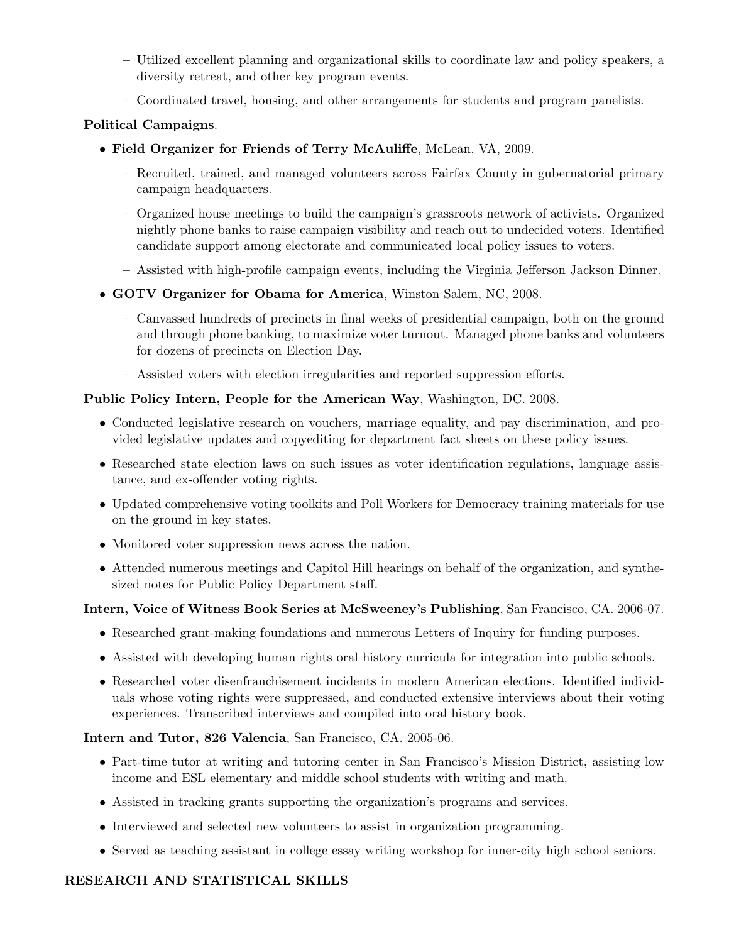- Utilized excellent planning and organizational skills to coordinate law and policy speakers, a diversity retreat, and other key program events.
- Coordinated travel, housing, and other arrangements for students and program panelists.

# Political Campaigns.

- Field Organizer for Friends of Terry McAuliffe, McLean, VA, 2009.
	- Recruited, trained, and managed volunteers across Fairfax County in gubernatorial primary campaign headquarters.
	- Organized house meetings to build the campaign's grassroots network of activists. Organized nightly phone banks to raise campaign visibility and reach out to undecided voters. Identified candidate support among electorate and communicated local policy issues to voters.
	- Assisted with high-profile campaign events, including the Virginia Jefferson Jackson Dinner.
- GOTV Organizer for Obama for America, Winston Salem, NC, 2008.
	- Canvassed hundreds of precincts in final weeks of presidential campaign, both on the ground and through phone banking, to maximize voter turnout. Managed phone banks and volunteers for dozens of precincts on Election Day.
	- Assisted voters with election irregularities and reported suppression efforts.

# Public Policy Intern, People for the American Way, Washington, DC. 2008.

- Conducted legislative research on vouchers, marriage equality, and pay discrimination, and provided legislative updates and copyediting for department fact sheets on these policy issues.
- Researched state election laws on such issues as voter identification regulations, language assistance, and ex-offender voting rights.
- Updated comprehensive voting toolkits and Poll Workers for Democracy training materials for use on the ground in key states.
- Monitored voter suppression news across the nation.
- Attended numerous meetings and Capitol Hill hearings on behalf of the organization, and synthesized notes for Public Policy Department staff.

# Intern, Voice of Witness Book Series at McSweeney's Publishing, San Francisco, CA. 2006-07.

- Researched grant-making foundations and numerous Letters of Inquiry for funding purposes.
- Assisted with developing human rights oral history curricula for integration into public schools.
- Researched voter disenfranchisement incidents in modern American elections. Identified individuals whose voting rights were suppressed, and conducted extensive interviews about their voting experiences. Transcribed interviews and compiled into oral history book.

# Intern and Tutor, 826 Valencia, San Francisco, CA. 2005-06.

- Part-time tutor at writing and tutoring center in San Francisco's Mission District, assisting low income and ESL elementary and middle school students with writing and math.
- Assisted in tracking grants supporting the organization's programs and services.
- Interviewed and selected new volunteers to assist in organization programming.
- Served as teaching assistant in college essay writing workshop for inner-city high school seniors.

# RESEARCH AND STATISTICAL SKILLS